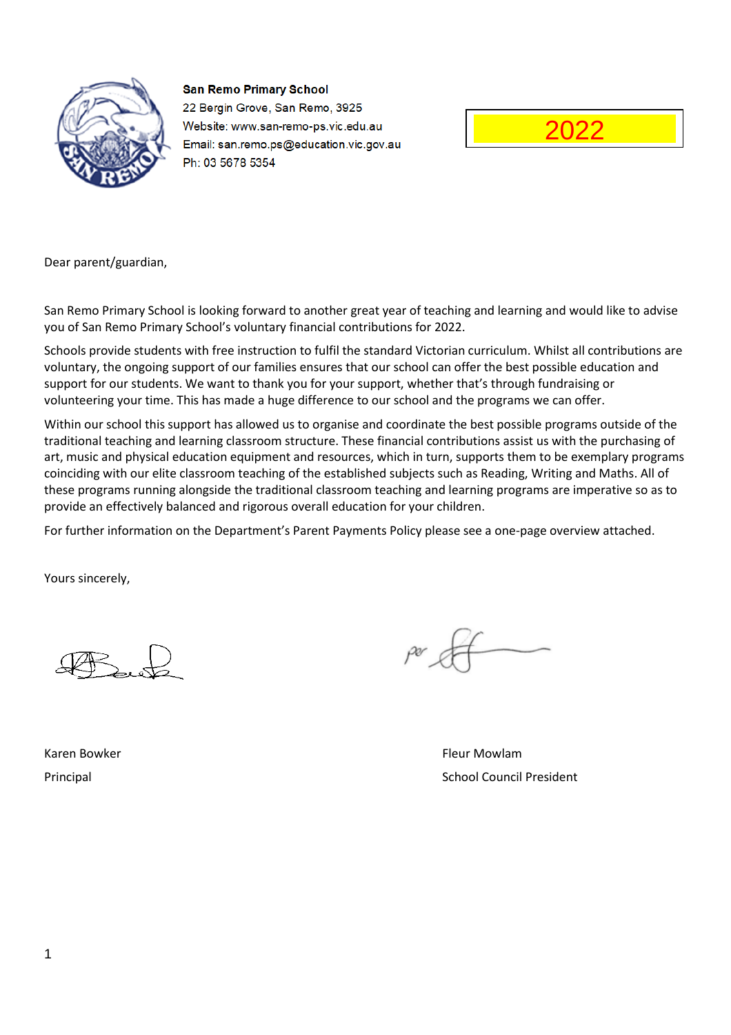

**San Remo Primary School** 22 Bergin Grove, San Remo, 3925 Website: www.san-remo-ps.vic.edu.au Email: san.remo.ps@education.vic.gov.au Ph: 03 5678 5354



Dear parent/guardian,

San Remo Primary School is looking forward to another great year of teaching and learning and would like to advise you of San Remo Primary School's voluntary financial contributions for 2022.

Schools provide students with free instruction to fulfil the standard Victorian curriculum. Whilst all contributions are voluntary, the ongoing support of our families ensures that our school can offer the best possible education and support for our students. We want to thank you for your support, whether that's through fundraising or volunteering your time. This has made a huge difference to our school and the programs we can offer.

Within our school this support has allowed us to organise and coordinate the best possible programs outside of the traditional teaching and learning classroom structure. These financial contributions assist us with the purchasing of art, music and physical education equipment and resources, which in turn, supports them to be exemplary programs coinciding with our elite classroom teaching of the established subjects such as Reading, Writing and Maths. All of these programs running alongside the traditional classroom teaching and learning programs are imperative so as to provide an effectively balanced and rigorous overall education for your children.

For further information on the Department's Parent Payments Policy please see a one-page overview attached.

Yours sincerely,

Karen Bowker Fleur Mowlam (Karen Bowker Fleur Mowlam Fleur Mowlam Fleur Mowlam Fleur Mowlam Fleur Mo Principal School Council President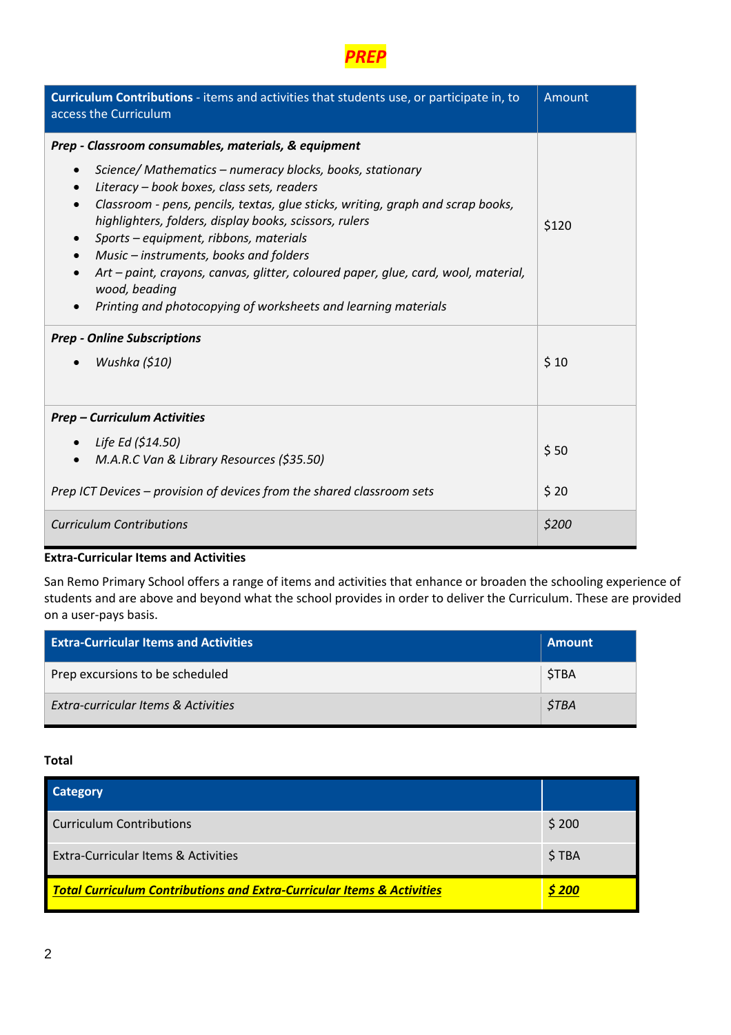

| Curriculum Contributions - items and activities that students use, or participate in, to<br>access the Curriculum                                                                                                                                                                                                                                                                                                                                                                                                                                                                              | Amount |
|------------------------------------------------------------------------------------------------------------------------------------------------------------------------------------------------------------------------------------------------------------------------------------------------------------------------------------------------------------------------------------------------------------------------------------------------------------------------------------------------------------------------------------------------------------------------------------------------|--------|
| Prep - Classroom consumables, materials, & equipment                                                                                                                                                                                                                                                                                                                                                                                                                                                                                                                                           |        |
| Science/Mathematics - numeracy blocks, books, stationary<br>$\bullet$<br>Literacy - book boxes, class sets, readers<br>$\bullet$<br>Classroom - pens, pencils, textas, glue sticks, writing, graph and scrap books,<br>$\bullet$<br>highlighters, folders, display books, scissors, rulers<br>Sports – equipment, ribbons, materials<br>$\bullet$<br>Music – instruments, books and folders<br>$\bullet$<br>Art - paint, crayons, canvas, glitter, coloured paper, glue, card, wool, material,<br>$\bullet$<br>wood, beading<br>Printing and photocopying of worksheets and learning materials | \$120  |
| <b>Prep - Online Subscriptions</b>                                                                                                                                                                                                                                                                                                                                                                                                                                                                                                                                                             |        |
| Wushka (\$10)                                                                                                                                                                                                                                                                                                                                                                                                                                                                                                                                                                                  | \$10   |
| <b>Prep - Curriculum Activities</b>                                                                                                                                                                                                                                                                                                                                                                                                                                                                                                                                                            |        |
| • Life Ed $(514.50)$                                                                                                                                                                                                                                                                                                                                                                                                                                                                                                                                                                           | \$50   |
| M.A.R.C Van & Library Resources (\$35.50)                                                                                                                                                                                                                                                                                                                                                                                                                                                                                                                                                      |        |
| Prep ICT Devices – provision of devices from the shared classroom sets                                                                                                                                                                                                                                                                                                                                                                                                                                                                                                                         | \$20   |
| <b>Curriculum Contributions</b>                                                                                                                                                                                                                                                                                                                                                                                                                                                                                                                                                                | \$200  |

San Remo Primary School offers a range of items and activities that enhance or broaden the schooling experience of students and are above and beyond what the school provides in order to deliver the Curriculum. These are provided on a user-pays basis.

| <b>Extra-Curricular Items and Activities</b> | ' Amount           |
|----------------------------------------------|--------------------|
| Prep excursions to be scheduled              | <b>STBA</b>        |
| Extra-curricular Items & Activities          | <i><b>STBA</b></i> |

| <b>Category</b>                                                                   |       |
|-----------------------------------------------------------------------------------|-------|
| Curriculum Contributions                                                          | \$200 |
| Extra-Curricular Items & Activities                                               | \$TBA |
| <b>Total Curriculum Contributions and Extra-Curricular Items &amp; Activities</b> | S 200 |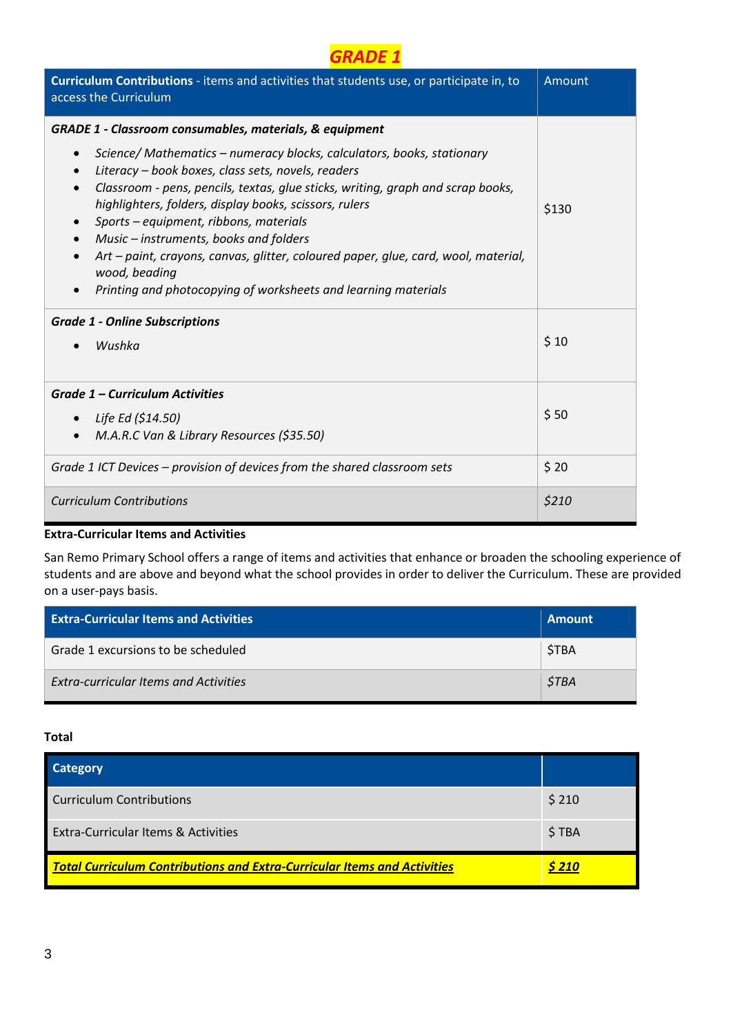| Curriculum Contributions - items and activities that students use, or participate in, to<br>access the Curriculum                                                                                                                                                                                                                                                                                                                                                                                                                                                                         | Amount |
|-------------------------------------------------------------------------------------------------------------------------------------------------------------------------------------------------------------------------------------------------------------------------------------------------------------------------------------------------------------------------------------------------------------------------------------------------------------------------------------------------------------------------------------------------------------------------------------------|--------|
| <b>GRADE 1 - Classroom consumables, materials, &amp; equipment</b>                                                                                                                                                                                                                                                                                                                                                                                                                                                                                                                        |        |
| Science/Mathematics - numeracy blocks, calculators, books, stationary<br>$\bullet$<br>Literacy - book boxes, class sets, novels, readers<br>$\bullet$<br>Classroom - pens, pencils, textas, glue sticks, writing, graph and scrap books,<br>$\bullet$<br>highlighters, folders, display books, scissors, rulers<br>Sports – equipment, ribbons, materials<br>Music - instruments, books and folders<br>$\bullet$<br>Art - paint, crayons, canvas, glitter, coloured paper, glue, card, wool, material,<br>wood, beading<br>Printing and photocopying of worksheets and learning materials | \$130  |
| <b>Grade 1 - Online Subscriptions</b>                                                                                                                                                                                                                                                                                                                                                                                                                                                                                                                                                     |        |
| Wushka                                                                                                                                                                                                                                                                                                                                                                                                                                                                                                                                                                                    | \$10   |
| Grade 1 - Curriculum Activities                                                                                                                                                                                                                                                                                                                                                                                                                                                                                                                                                           |        |
| Life Ed (\$14.50)<br>$\bullet$                                                                                                                                                                                                                                                                                                                                                                                                                                                                                                                                                            | \$50   |
| M.A.R.C Van & Library Resources (\$35.50)<br>$\bullet$                                                                                                                                                                                                                                                                                                                                                                                                                                                                                                                                    |        |
| Grade 1 ICT Devices – provision of devices from the shared classroom sets                                                                                                                                                                                                                                                                                                                                                                                                                                                                                                                 | \$20   |
| <b>Curriculum Contributions</b>                                                                                                                                                                                                                                                                                                                                                                                                                                                                                                                                                           | \$210  |

San Remo Primary School offers a range of items and activities that enhance or broaden the schooling experience of students and are above and beyond what the school provides in order to deliver the Curriculum. These are provided on a user-pays basis.

| <b>Extra-Curricular Items and Activities</b> | <b>Amount</b> |
|----------------------------------------------|---------------|
| Grade 1 excursions to be scheduled           | <b>STBA</b>   |
| <b>Extra-curricular Items and Activities</b> | <b>STBA</b>   |

| <b>Category</b>                                                                 |               |
|---------------------------------------------------------------------------------|---------------|
| <b>Curriculum Contributions</b>                                                 | \$210         |
| Extra-Curricular Items & Activities                                             | \$TBA         |
| <b>Total Curriculum Contributions and Extra-Curricular Items and Activities</b> | <u>\$ 210</u> |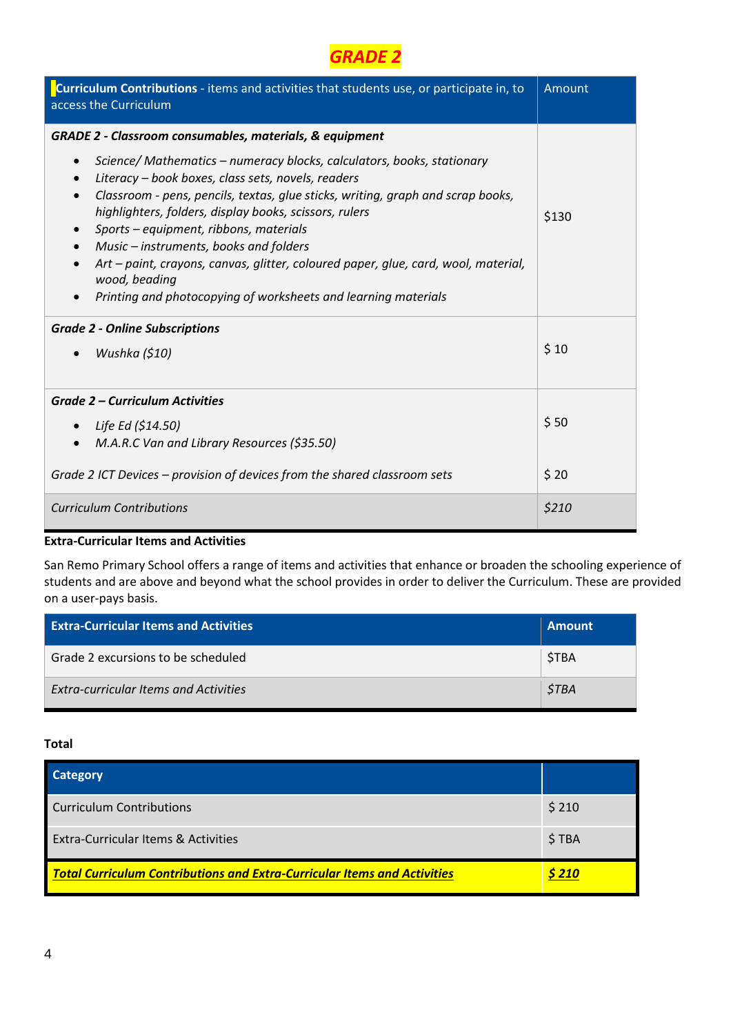

| Curriculum Contributions - items and activities that students use, or participate in, to<br>access the Curriculum                                                                                                                                                                                                                                                                                                                                                                                                                                                                                                                | Amount |
|----------------------------------------------------------------------------------------------------------------------------------------------------------------------------------------------------------------------------------------------------------------------------------------------------------------------------------------------------------------------------------------------------------------------------------------------------------------------------------------------------------------------------------------------------------------------------------------------------------------------------------|--------|
| <b>GRADE 2 - Classroom consumables, materials, &amp; equipment</b>                                                                                                                                                                                                                                                                                                                                                                                                                                                                                                                                                               |        |
| Science/Mathematics – numeracy blocks, calculators, books, stationary<br>$\bullet$<br>Literacy - book boxes, class sets, novels, readers<br>$\bullet$<br>Classroom - pens, pencils, textas, glue sticks, writing, graph and scrap books,<br>$\bullet$<br>highlighters, folders, display books, scissors, rulers<br>Sports - equipment, ribbons, materials<br>$\bullet$<br>Music - instruments, books and folders<br>$\bullet$<br>Art – paint, crayons, canvas, glitter, coloured paper, glue, card, wool, material,<br>$\bullet$<br>wood, beading<br>Printing and photocopying of worksheets and learning materials<br>$\bullet$ | \$130  |
| <b>Grade 2 - Online Subscriptions</b><br>Wushka (\$10)                                                                                                                                                                                                                                                                                                                                                                                                                                                                                                                                                                           | \$10   |
|                                                                                                                                                                                                                                                                                                                                                                                                                                                                                                                                                                                                                                  |        |
| <b>Grade 2 - Curriculum Activities</b>                                                                                                                                                                                                                                                                                                                                                                                                                                                                                                                                                                                           |        |
| Life Ed (\$14.50)<br>$\bullet$                                                                                                                                                                                                                                                                                                                                                                                                                                                                                                                                                                                                   | \$50   |
| M.A.R.C Van and Library Resources (\$35.50)<br>$\bullet$                                                                                                                                                                                                                                                                                                                                                                                                                                                                                                                                                                         |        |
| Grade 2 ICT Devices – provision of devices from the shared classroom sets                                                                                                                                                                                                                                                                                                                                                                                                                                                                                                                                                        | \$20   |
| <b>Curriculum Contributions</b>                                                                                                                                                                                                                                                                                                                                                                                                                                                                                                                                                                                                  | \$210  |

San Remo Primary School offers a range of items and activities that enhance or broaden the schooling experience of students and are above and beyond what the school provides in order to deliver the Curriculum. These are provided on a user-pays basis.

| <b>Extra-Curricular Items and Activities</b> | <b>Amount</b> |
|----------------------------------------------|---------------|
| Grade 2 excursions to be scheduled           | <b>STBA</b>   |
| <b>Extra-curricular Items and Activities</b> | <b>STBA</b>   |

| <b>Category</b>                                                                 |               |
|---------------------------------------------------------------------------------|---------------|
| <b>Curriculum Contributions</b>                                                 | \$210         |
| Extra-Curricular Items & Activities                                             | \$TBA         |
| <b>Total Curriculum Contributions and Extra-Curricular Items and Activities</b> | <u>\$ 210</u> |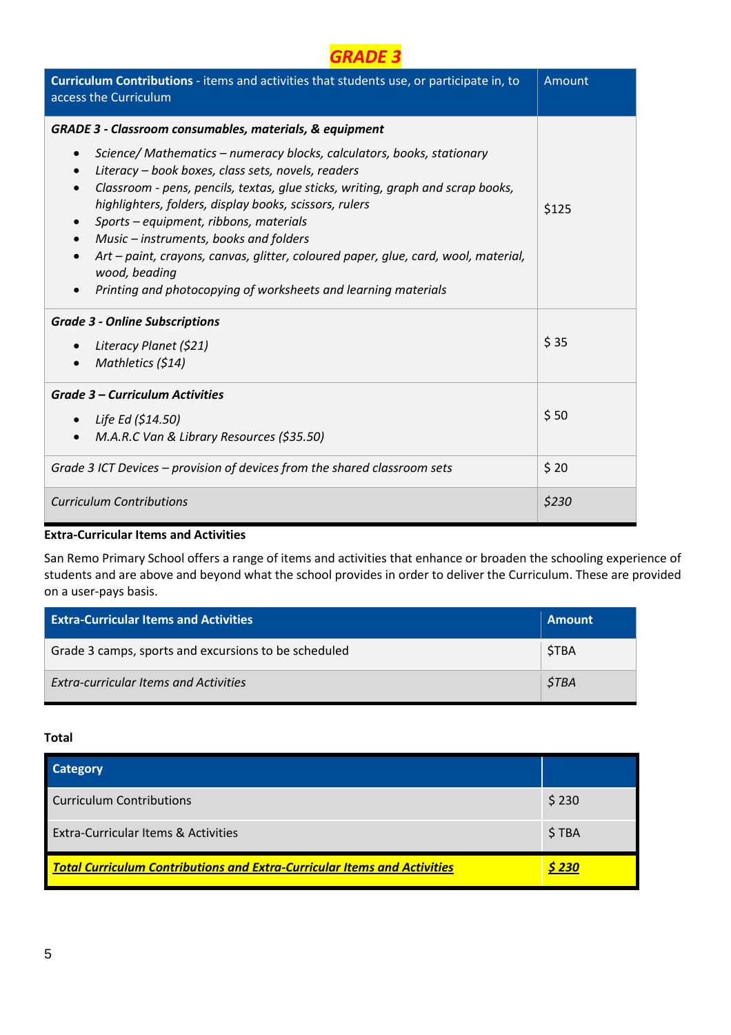| Curriculum Contributions - items and activities that students use, or participate in, to<br>access the Curriculum                                                                                                                                                                                                                                                                                                                                                                                                                                                                                       | Amount |
|---------------------------------------------------------------------------------------------------------------------------------------------------------------------------------------------------------------------------------------------------------------------------------------------------------------------------------------------------------------------------------------------------------------------------------------------------------------------------------------------------------------------------------------------------------------------------------------------------------|--------|
| <b>GRADE 3 - Classroom consumables, materials, &amp; equipment</b>                                                                                                                                                                                                                                                                                                                                                                                                                                                                                                                                      |        |
| Science/ Mathematics - numeracy blocks, calculators, books, stationary<br>$\bullet$<br>Literacy - book boxes, class sets, novels, readers<br>$\bullet$<br>Classroom - pens, pencils, textas, glue sticks, writing, graph and scrap books,<br>$\bullet$<br>highlighters, folders, display books, scissors, rulers<br>Sports - equipment, ribbons, materials<br>$\bullet$<br>Music – instruments, books and folders<br>$\bullet$<br>Art - paint, crayons, canvas, glitter, coloured paper, glue, card, wool, material,<br>wood, beading<br>Printing and photocopying of worksheets and learning materials | \$125  |
| <b>Grade 3 - Online Subscriptions</b>                                                                                                                                                                                                                                                                                                                                                                                                                                                                                                                                                                   |        |
| Literacy Planet (\$21)                                                                                                                                                                                                                                                                                                                                                                                                                                                                                                                                                                                  | \$35   |
| Mathletics (\$14)<br>$\bullet$                                                                                                                                                                                                                                                                                                                                                                                                                                                                                                                                                                          |        |
| Grade 3 - Curriculum Activities                                                                                                                                                                                                                                                                                                                                                                                                                                                                                                                                                                         |        |
| Life Ed (\$14.50)<br>$\bullet$                                                                                                                                                                                                                                                                                                                                                                                                                                                                                                                                                                          | \$50   |
| M.A.R.C Van & Library Resources (\$35.50)<br>$\bullet$                                                                                                                                                                                                                                                                                                                                                                                                                                                                                                                                                  |        |
| Grade 3 ICT Devices – provision of devices from the shared classroom sets                                                                                                                                                                                                                                                                                                                                                                                                                                                                                                                               | \$20   |
| <b>Curriculum Contributions</b>                                                                                                                                                                                                                                                                                                                                                                                                                                                                                                                                                                         | \$230  |

San Remo Primary School offers a range of items and activities that enhance or broaden the schooling experience of students and are above and beyond what the school provides in order to deliver the Curriculum. These are provided on a user-pays basis.

| <b>Extra-Curricular Items and Activities</b>         | <b>Amount</b> |
|------------------------------------------------------|---------------|
| Grade 3 camps, sports and excursions to be scheduled | <b>STBA</b>   |
| <b>Extra-curricular Items and Activities</b>         | <b>STBA</b>   |

| <b>Category</b>                                                                 |        |
|---------------------------------------------------------------------------------|--------|
| Curriculum Contributions                                                        | \$230  |
| Extra-Curricular Items & Activities                                             | \$TBA  |
| <b>Total Curriculum Contributions and Extra-Curricular Items and Activities</b> | \$ 230 |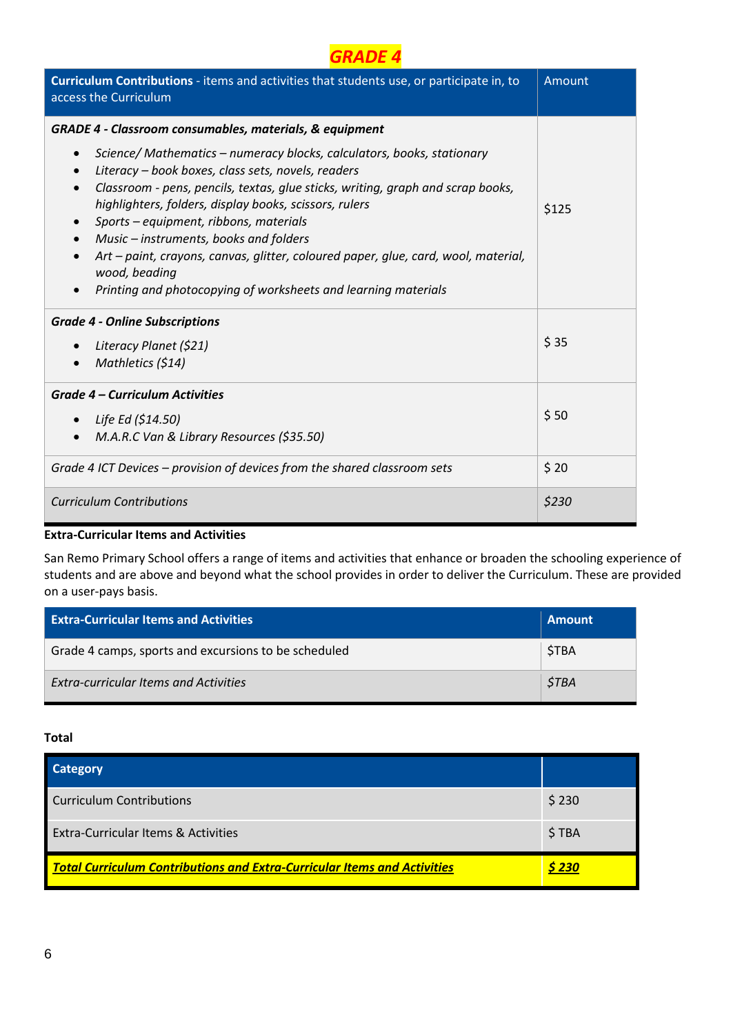| Curriculum Contributions - items and activities that students use, or participate in, to<br>access the Curriculum                                                                                                                                                                                                                                                                                                                                                                                                                                                                                      | Amount |
|--------------------------------------------------------------------------------------------------------------------------------------------------------------------------------------------------------------------------------------------------------------------------------------------------------------------------------------------------------------------------------------------------------------------------------------------------------------------------------------------------------------------------------------------------------------------------------------------------------|--------|
| <b>GRADE 4 - Classroom consumables, materials, &amp; equipment</b>                                                                                                                                                                                                                                                                                                                                                                                                                                                                                                                                     |        |
| Science/Mathematics - numeracy blocks, calculators, books, stationary<br>$\bullet$<br>Literacy - book boxes, class sets, novels, readers<br>$\bullet$<br>Classroom - pens, pencils, textas, glue sticks, writing, graph and scrap books,<br>$\bullet$<br>highlighters, folders, display books, scissors, rulers<br>Sports - equipment, ribbons, materials<br>$\bullet$<br>Music – instruments, books and folders<br>$\bullet$<br>Art - paint, crayons, canvas, glitter, coloured paper, glue, card, wool, material,<br>wood, beading<br>Printing and photocopying of worksheets and learning materials | \$125  |
| <b>Grade 4 - Online Subscriptions</b>                                                                                                                                                                                                                                                                                                                                                                                                                                                                                                                                                                  |        |
| Literacy Planet (\$21)                                                                                                                                                                                                                                                                                                                                                                                                                                                                                                                                                                                 | \$35   |
| Mathletics (\$14)                                                                                                                                                                                                                                                                                                                                                                                                                                                                                                                                                                                      |        |
| <b>Grade 4 – Curriculum Activities</b>                                                                                                                                                                                                                                                                                                                                                                                                                                                                                                                                                                 |        |
| Life Ed (\$14.50)                                                                                                                                                                                                                                                                                                                                                                                                                                                                                                                                                                                      | \$50   |
| M.A.R.C Van & Library Resources (\$35.50)<br>$\bullet$                                                                                                                                                                                                                                                                                                                                                                                                                                                                                                                                                 |        |
| Grade 4 ICT Devices – provision of devices from the shared classroom sets                                                                                                                                                                                                                                                                                                                                                                                                                                                                                                                              | \$20   |
| <b>Curriculum Contributions</b>                                                                                                                                                                                                                                                                                                                                                                                                                                                                                                                                                                        | \$230  |

San Remo Primary School offers a range of items and activities that enhance or broaden the schooling experience of students and are above and beyond what the school provides in order to deliver the Curriculum. These are provided on a user-pays basis.

| <b>Extra-Curricular Items and Activities</b>         | <b>Amount</b> |
|------------------------------------------------------|---------------|
| Grade 4 camps, sports and excursions to be scheduled | <b>STBA</b>   |
| <b>Extra-curricular Items and Activities</b>         | <b>STBA</b>   |

| <b>Category</b>                                                                 |        |
|---------------------------------------------------------------------------------|--------|
| Curriculum Contributions                                                        | \$230  |
| Extra-Curricular Items & Activities                                             | \$TBA  |
| <b>Total Curriculum Contributions and Extra-Curricular Items and Activities</b> | \$ 230 |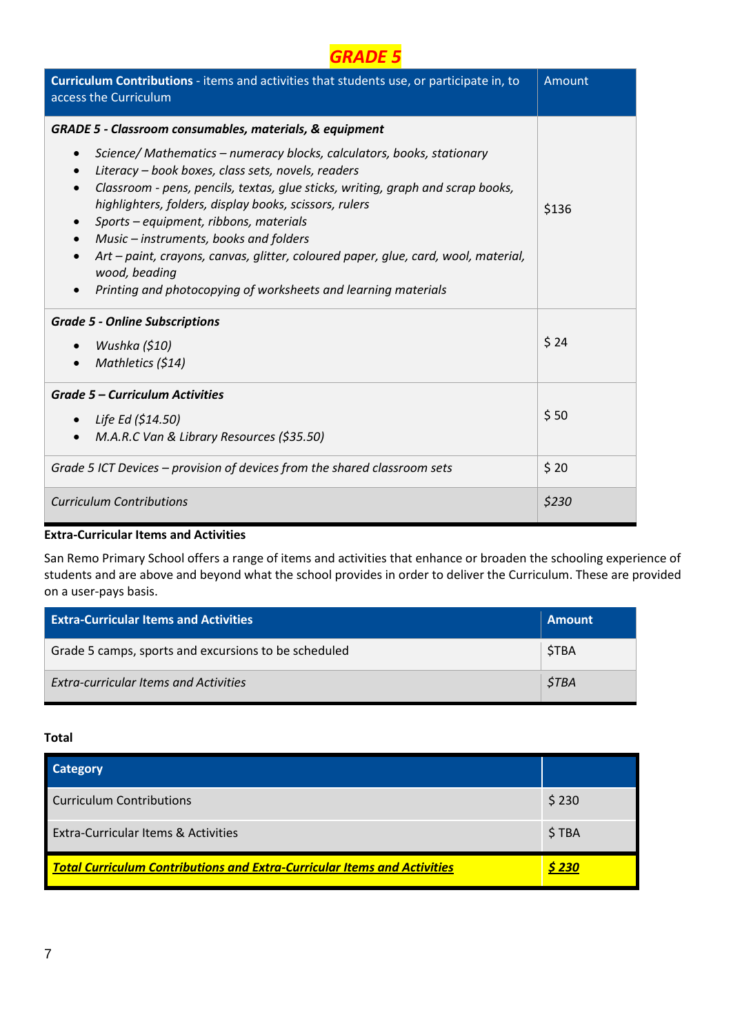| Curriculum Contributions - items and activities that students use, or participate in, to<br>access the Curriculum                                                                                                                                                                                                                                                                                                                                                                                                                                                                                      | Amount |
|--------------------------------------------------------------------------------------------------------------------------------------------------------------------------------------------------------------------------------------------------------------------------------------------------------------------------------------------------------------------------------------------------------------------------------------------------------------------------------------------------------------------------------------------------------------------------------------------------------|--------|
| <b>GRADE 5 - Classroom consumables, materials, &amp; equipment</b>                                                                                                                                                                                                                                                                                                                                                                                                                                                                                                                                     |        |
| Science/Mathematics - numeracy blocks, calculators, books, stationary<br>$\bullet$<br>Literacy - book boxes, class sets, novels, readers<br>$\bullet$<br>Classroom - pens, pencils, textas, glue sticks, writing, graph and scrap books,<br>$\bullet$<br>highlighters, folders, display books, scissors, rulers<br>Sports – equipment, ribbons, materials<br>$\bullet$<br>Music – instruments, books and folders<br>$\bullet$<br>Art - paint, crayons, canvas, glitter, coloured paper, glue, card, wool, material,<br>wood, beading<br>Printing and photocopying of worksheets and learning materials | \$136  |
| <b>Grade 5 - Online Subscriptions</b>                                                                                                                                                                                                                                                                                                                                                                                                                                                                                                                                                                  |        |
| Wushka (\$10)                                                                                                                                                                                                                                                                                                                                                                                                                                                                                                                                                                                          | \$24   |
| Mathletics (\$14)                                                                                                                                                                                                                                                                                                                                                                                                                                                                                                                                                                                      |        |
| <b>Grade 5 – Curriculum Activities</b>                                                                                                                                                                                                                                                                                                                                                                                                                                                                                                                                                                 |        |
| Life Ed (\$14.50)<br>$\bullet$                                                                                                                                                                                                                                                                                                                                                                                                                                                                                                                                                                         | \$50   |
| M.A.R.C Van & Library Resources (\$35.50)<br>$\bullet$                                                                                                                                                                                                                                                                                                                                                                                                                                                                                                                                                 |        |
| Grade 5 ICT Devices – provision of devices from the shared classroom sets                                                                                                                                                                                                                                                                                                                                                                                                                                                                                                                              | \$20   |
| <b>Curriculum Contributions</b>                                                                                                                                                                                                                                                                                                                                                                                                                                                                                                                                                                        | \$230  |

San Remo Primary School offers a range of items and activities that enhance or broaden the schooling experience of students and are above and beyond what the school provides in order to deliver the Curriculum. These are provided on a user-pays basis.

| <b>Extra-Curricular Items and Activities</b>         | <b>Amount</b> |
|------------------------------------------------------|---------------|
| Grade 5 camps, sports and excursions to be scheduled | <b>STBA</b>   |
| <b>Extra-curricular Items and Activities</b>         | <b>STBA</b>   |

| <b>Category</b>                                                                 |        |
|---------------------------------------------------------------------------------|--------|
| Curriculum Contributions                                                        | \$230  |
| Extra-Curricular Items & Activities                                             | \$TBA  |
| <b>Total Curriculum Contributions and Extra-Curricular Items and Activities</b> | \$ 230 |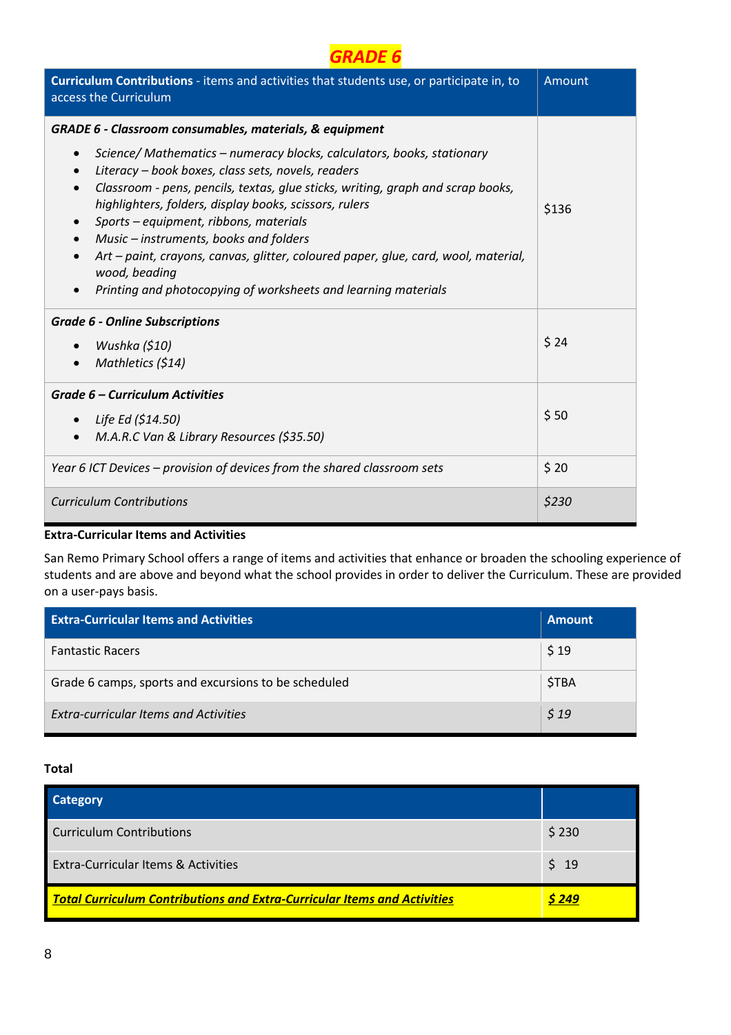| Curriculum Contributions - items and activities that students use, or participate in, to<br>access the Curriculum                                                                                                                                                                                                                                                                                                                                                                                                                                                                                       | Amount |
|---------------------------------------------------------------------------------------------------------------------------------------------------------------------------------------------------------------------------------------------------------------------------------------------------------------------------------------------------------------------------------------------------------------------------------------------------------------------------------------------------------------------------------------------------------------------------------------------------------|--------|
| GRADE 6 - Classroom consumables, materials, & equipment                                                                                                                                                                                                                                                                                                                                                                                                                                                                                                                                                 |        |
| Science/ Mathematics - numeracy blocks, calculators, books, stationary<br>$\bullet$<br>Literacy - book boxes, class sets, novels, readers<br>$\bullet$<br>Classroom - pens, pencils, textas, glue sticks, writing, graph and scrap books,<br>$\bullet$<br>highlighters, folders, display books, scissors, rulers<br>Sports – equipment, ribbons, materials<br>$\bullet$<br>Music – instruments, books and folders<br>$\bullet$<br>Art - paint, crayons, canvas, glitter, coloured paper, glue, card, wool, material,<br>wood, beading<br>Printing and photocopying of worksheets and learning materials | \$136  |
| <b>Grade 6 - Online Subscriptions</b>                                                                                                                                                                                                                                                                                                                                                                                                                                                                                                                                                                   |        |
| Wushka (\$10)                                                                                                                                                                                                                                                                                                                                                                                                                                                                                                                                                                                           | \$24   |
| Mathletics (\$14)                                                                                                                                                                                                                                                                                                                                                                                                                                                                                                                                                                                       |        |
| Grade 6 - Curriculum Activities                                                                                                                                                                                                                                                                                                                                                                                                                                                                                                                                                                         |        |
| Life Ed (\$14.50)<br>$\bullet$                                                                                                                                                                                                                                                                                                                                                                                                                                                                                                                                                                          | \$50   |
| M.A.R.C Van & Library Resources (\$35.50)<br>$\bullet$                                                                                                                                                                                                                                                                                                                                                                                                                                                                                                                                                  |        |
| Year 6 ICT Devices - provision of devices from the shared classroom sets                                                                                                                                                                                                                                                                                                                                                                                                                                                                                                                                | \$20   |
| <b>Curriculum Contributions</b>                                                                                                                                                                                                                                                                                                                                                                                                                                                                                                                                                                         | \$230  |

San Remo Primary School offers a range of items and activities that enhance or broaden the schooling experience of students and are above and beyond what the school provides in order to deliver the Curriculum. These are provided on a user-pays basis.

| <b>Extra-Curricular Items and Activities</b>         | <b>Amount</b> |
|------------------------------------------------------|---------------|
| <b>Fantastic Racers</b>                              | \$19          |
| Grade 6 camps, sports and excursions to be scheduled | \$TBA         |
| <b>Extra-curricular Items and Activities</b>         | \$19          |

| <b>Category</b>                                                                 |       |
|---------------------------------------------------------------------------------|-------|
| <b>Curriculum Contributions</b>                                                 | \$230 |
| Extra-Curricular Items & Activities                                             | \$19  |
| <b>Total Curriculum Contributions and Extra-Curricular Items and Activities</b> | S 249 |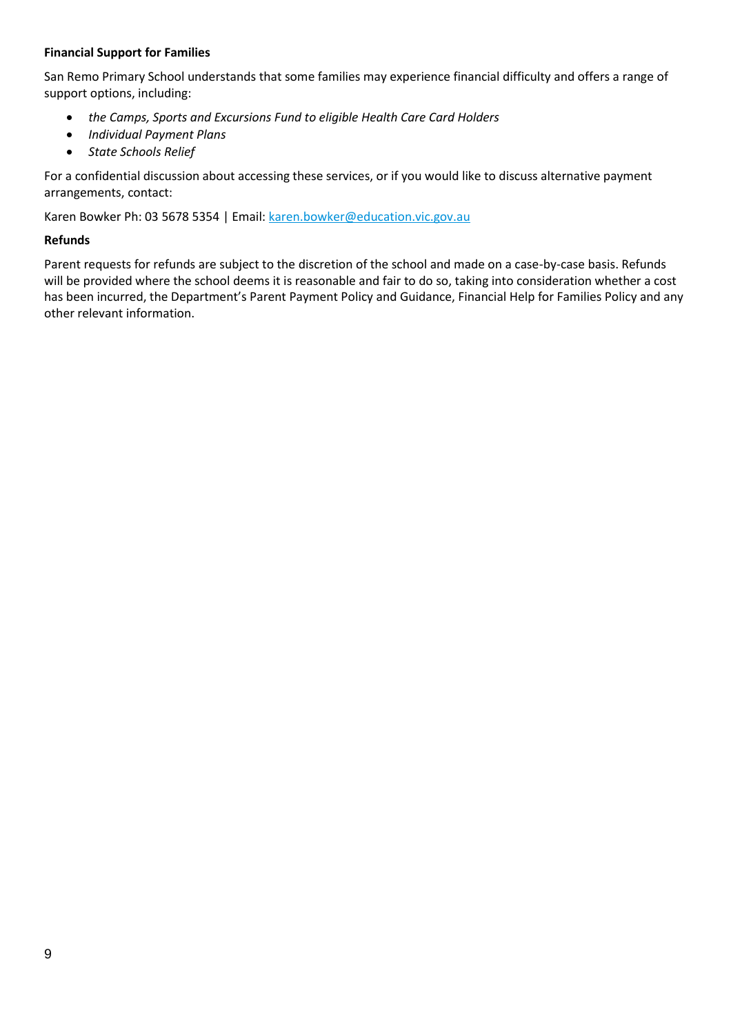#### **Financial Support for Families**

San Remo Primary School understands that some families may experience financial difficulty and offers a range of support options, including:

- *the Camps, Sports and Excursions Fund to eligible Health Care Card Holders*
- *Individual Payment Plans*
- *State Schools Relief*

For a confidential discussion about accessing these services, or if you would like to discuss alternative payment arrangements, contact:

Karen Bowker Ph: 03 5678 5354 | Email[: karen.bowker@education.vic.gov.au](mailto:karen.bowker@education.vic.gov.au)

#### **Refunds**

Parent requests for refunds are subject to the discretion of the school and made on a case-by-case basis. Refunds will be provided where the school deems it is reasonable and fair to do so, taking into consideration whether a cost has been incurred, the Department's Parent Payment Policy and Guidance, Financial Help for Families Policy and any other relevant information.